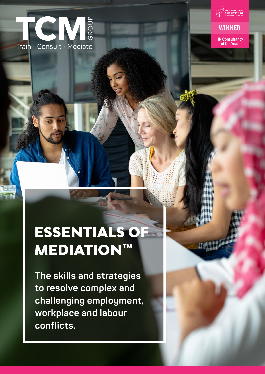

PERSONNEL TODAY<br>AWARDS2020<br>Celebrating the best in HF

### **WINNER**

HR Consultancy of the Year

# ESSENTIALS OF **MEDIATION™**

**The skills and strategies to resolve complex and challenging employment, workplace and labour conflicts.**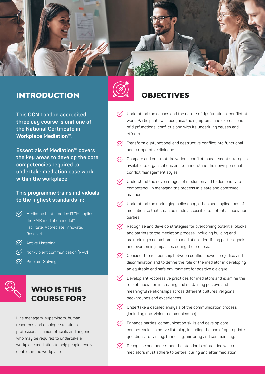

## INTRODUCTION  $\oslash$  OBJECTIVES

**This OCN London accredited three day course is unit one of the National Certificate in Workplace Mediation™.** 

**Essentials of Mediation™ covers the key areas to develop the core competencies required to undertake mediation case work within the workplace.** 

**This programme trains individuals to the highest standards in:**

- $\heartsuit$  Mediation best practice (TCM applies the FAIR mediation model™ – Facilitate, Appreciate, Innovate, Resolve)
- **V** Active Listening
- $\heartsuit$  Non-violent communication (NVC)
- $\heartsuit$  Problem-Solving.



Line managers, supervisors, human resources and employee relations professionals, union officials and anyone who may be required to undertake a workplace mediation to help people resolve conflict in the workplace.



- $\heartsuit$  Understand the causes and the nature of dysfunctional conflict at work. Participants will recognise the symptoms and expressions of dysfunctional conflict along with its underlying causes and effects.
- $\heartsuit$  Transform dysfunctional and destructive conflict into functional and co-operative dialogue.
- $\heartsuit$  Compare and contrast the various conflict management strategies available to organisations and to understand their own personal conflict management styles.
- $\heartsuit$  Understand the seven stages of mediation and to demonstrate competency in managing the process in a safe and controlled manner.
- $\heartsuit$  Understand the underlying philosophy, ethos and applications of mediation so that it can be made accessible to potential mediation parties.
- $\heartsuit$  Recognise and develop strategies for overcoming potential blocks and barriers to the mediation process, including building and maintaining a commitment to mediation, identifying parties' goals and overcoming impasses during the process.
- $\heartsuit$  Consider the relationship between conflict, power, prejudice and discrimination and to define the role of the mediator in developing an equitable and safe environment for positive dialogue.
- $\heartsuit$  Develop anti-oppressive practices for mediators and examine the role of mediation in creating and sustaining positive and meaningful relationships across different cultures, religions, backgrounds and experiences.
- $\heartsuit$  Undertake a detailed analysis of the communication process (including non-violent communication).
- $\mathcal{C}'$ Enhance parties' communication skills and develop core competencies in active listening, including the use of appropriate questions, reframing, funnelling, mirroring and summarising.
- $\mathcal{C}'$ Recognise and understand the standards of practice which mediators must adhere to before, during and after mediation.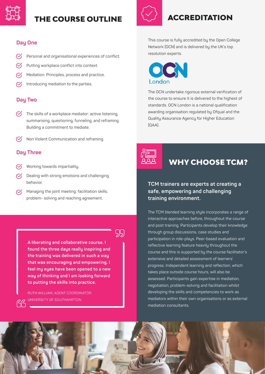

### THE COURSE OUTLINE

### **Day One**

- Personal and organisational experiences of conflict.
- Putting workplace conflict into context.
- Mediation: Principles, process and practice.
- Introducing mediation to the parties.

### **Day Two**

- $\heartsuit$  The skills of a workplace mediator: active listening, summarising, questioning, funneling, and reframing. Building a commitment to mediate.
- Non Violent Communication and reframing.  $\mathcal{C}'$

### **Day Three**

- Working towards impartiality.
- Dealing with strong emotions and challenging behavior.
- $\heartsuit$  Managing the joint meeting: facilitation skills, problem- solving and reaching agreement.

99

**A liberating and collaborative course. I found the three days really inspiring and the training was delivered in such a way that was encouraging and empowering. I feel my eyes have been opened to a new way of thinking and I am looking forward to putting the skills into practice.**

RUTH WILLIAM, AGENT COORDINATOR, UNIVERSITY OF SOUTHAMPTON



## ACCREDITATION

This course is fully accredited by the Open College Network (OCN) and is delivered by the UK's top resolution experts.



The OCN undertake rigorous external verification of the course to ensure it is delivered to the highest of standards. OCN London is a national qualification awarding organisation regulated by Ofqual and the Quality Assurance Agency for Higher Education  $[OAA]$ .



### WHY CHOOSE TCM?

### **TCM trainers are experts at creating a safe, empowering and challenging training environment.**

The TCM blended learning style incorporates a range of interactive approaches before, throughout the course and post training. Participants develop their knowledge through group discussions, case studies and participation in role-plays. Peer-based evaluation and reflective learning feature heavily throughout the course and this is supported by the course facilitator's extensive and detailed assessment of learners' progress. Independent learning and reflection, which takes place outside course hours, will also be assessed. Participants gain expertise in mediation, negotiation, problem-solving and facilitation whilst developing the skills and competencies to work as mediators within their own organisations or as external mediation consultants.